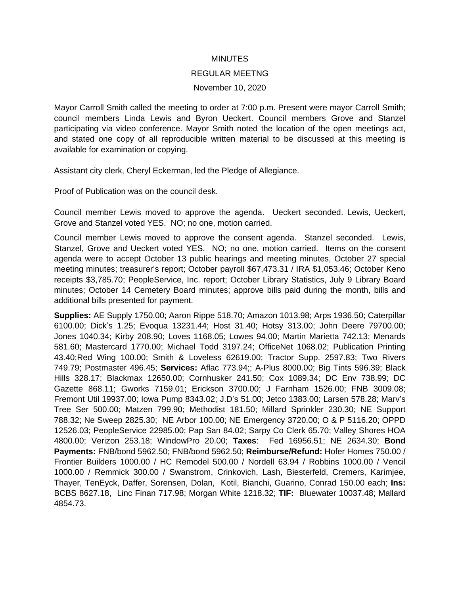## MINUTES

## REGULAR MEETNG

## November 10, 2020

Mayor Carroll Smith called the meeting to order at 7:00 p.m. Present were mayor Carroll Smith; council members Linda Lewis and Byron Ueckert. Council members Grove and Stanzel participating via video conference. Mayor Smith noted the location of the open meetings act, and stated one copy of all reproducible written material to be discussed at this meeting is available for examination or copying.

Assistant city clerk, Cheryl Eckerman, led the Pledge of Allegiance.

Proof of Publication was on the council desk.

Council member Lewis moved to approve the agenda. Ueckert seconded. Lewis, Ueckert, Grove and Stanzel voted YES. NO; no one, motion carried.

Council member Lewis moved to approve the consent agenda. Stanzel seconded. Lewis, Stanzel, Grove and Ueckert voted YES. NO; no one, motion carried. Items on the consent agenda were to accept October 13 public hearings and meeting minutes, October 27 special meeting minutes; treasurer's report; October payroll \$67,473.31 / IRA \$1,053.46; October Keno receipts \$3,785.70; PeopleService, Inc. report; October Library Statistics, July 9 Library Board minutes; October 14 Cemetery Board minutes; approve bills paid during the month, bills and additional bills presented for payment.

**Supplies:** AE Supply 1750.00; Aaron Rippe 518.70; Amazon 1013.98; Arps 1936.50; Caterpillar 6100.00; Dick's 1.25; Evoqua 13231.44; Host 31.40; Hotsy 313.00; John Deere 79700.00; Jones 1040.34; Kirby 208.90; Loves 1168.05; Lowes 94.00; Martin Marietta 742.13; Menards 581.60; Mastercard 1770.00; Michael Todd 3197.24; OfficeNet 1068.02; Publication Printing 43.40;Red Wing 100.00; Smith & Loveless 62619.00; Tractor Supp. 2597.83; Two Rivers 749.79; Postmaster 496.45; **Services:** Aflac 773.94;; A-Plus 8000.00; Big Tints 596.39; Black Hills 328.17; Blackmax 12650.00; Cornhusker 241.50; Cox 1089.34; DC Env 738.99; DC Gazette 868.11; Gworks 7159.01; Erickson 3700.00; J Farnham 1526.00; FNB 3009.08; Fremont Util 19937.00; Iowa Pump 8343.02; J.D's 51.00; Jetco 1383.00; Larsen 578.28; Marv's Tree Ser 500.00; Matzen 799.90; Methodist 181.50; Millard Sprinkler 230.30; NE Support 788.32; Ne Sweep 2825.30; NE Arbor 100.00; NE Emergency 3720.00; O & P 5116.20; OPPD 12526.03; PeopleService 22985.00; Pap San 84.02; Sarpy Co Clerk 65.70; Valley Shores HOA 4800.00; Verizon 253.18; WindowPro 20.00; **Taxes**: Fed 16956.51; NE 2634.30; **Bond Payments:** FNB/bond 5962.50; FNB/bond 5962.50; **Reimburse/Refund:** Hofer Homes 750.00 / Frontier Builders 1000.00 / HC Remodel 500.00 / Nordell 63.94 / Robbins 1000.00 / Vencil 1000.00 / Remmick 300.00 / Swanstrom, Crinkovich, Lash, Biesterfeld, Cremers, Karimjee, Thayer, TenEyck, Daffer, Sorensen, Dolan, Kotil, Bianchi, Guarino, Conrad 150.00 each; **Ins:** BCBS 8627.18, Linc Finan 717.98; Morgan White 1218.32; **TIF:** Bluewater 10037.48; Mallard 4854.73.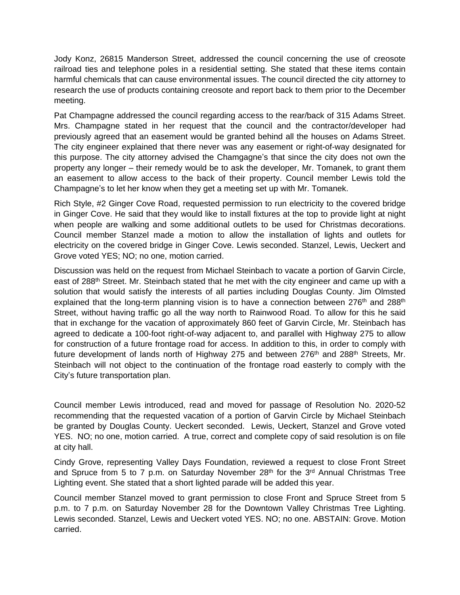Jody Konz, 26815 Manderson Street, addressed the council concerning the use of creosote railroad ties and telephone poles in a residential setting. She stated that these items contain harmful chemicals that can cause environmental issues. The council directed the city attorney to research the use of products containing creosote and report back to them prior to the December meeting.

Pat Champagne addressed the council regarding access to the rear/back of 315 Adams Street. Mrs. Champagne stated in her request that the council and the contractor/developer had previously agreed that an easement would be granted behind all the houses on Adams Street. The city engineer explained that there never was any easement or right-of-way designated for this purpose. The city attorney advised the Chamgagne's that since the city does not own the property any longer – their remedy would be to ask the developer, Mr. Tomanek, to grant them an easement to allow access to the back of their property. Council member Lewis told the Champagne's to let her know when they get a meeting set up with Mr. Tomanek.

Rich Style, #2 Ginger Cove Road, requested permission to run electricity to the covered bridge in Ginger Cove. He said that they would like to install fixtures at the top to provide light at night when people are walking and some additional outlets to be used for Christmas decorations. Council member Stanzel made a motion to allow the installation of lights and outlets for electricity on the covered bridge in Ginger Cove. Lewis seconded. Stanzel, Lewis, Ueckert and Grove voted YES; NO; no one, motion carried.

Discussion was held on the request from Michael Steinbach to vacate a portion of Garvin Circle, east of 288<sup>th</sup> Street. Mr. Steinbach stated that he met with the city engineer and came up with a solution that would satisfy the interests of all parties including Douglas County. Jim Olmsted explained that the long-term planning vision is to have a connection between 276<sup>th</sup> and 288<sup>th</sup> Street, without having traffic go all the way north to Rainwood Road. To allow for this he said that in exchange for the vacation of approximately 860 feet of Garvin Circle, Mr. Steinbach has agreed to dedicate a 100-foot right-of-way adjacent to, and parallel with Highway 275 to allow for construction of a future frontage road for access. In addition to this, in order to comply with future development of lands north of Highway 275 and between  $276<sup>th</sup>$  and  $288<sup>th</sup>$  Streets, Mr. Steinbach will not object to the continuation of the frontage road easterly to comply with the City's future transportation plan.

Council member Lewis introduced, read and moved for passage of Resolution No. 2020-52 recommending that the requested vacation of a portion of Garvin Circle by Michael Steinbach be granted by Douglas County. Ueckert seconded. Lewis, Ueckert, Stanzel and Grove voted YES. NO; no one, motion carried. A true, correct and complete copy of said resolution is on file at city hall.

Cindy Grove, representing Valley Days Foundation, reviewed a request to close Front Street and Spruce from 5 to 7 p.m. on Saturday November 28<sup>th</sup> for the 3<sup>rd</sup> Annual Christmas Tree Lighting event. She stated that a short lighted parade will be added this year.

Council member Stanzel moved to grant permission to close Front and Spruce Street from 5 p.m. to 7 p.m. on Saturday November 28 for the Downtown Valley Christmas Tree Lighting. Lewis seconded. Stanzel, Lewis and Ueckert voted YES. NO; no one. ABSTAIN: Grove. Motion carried.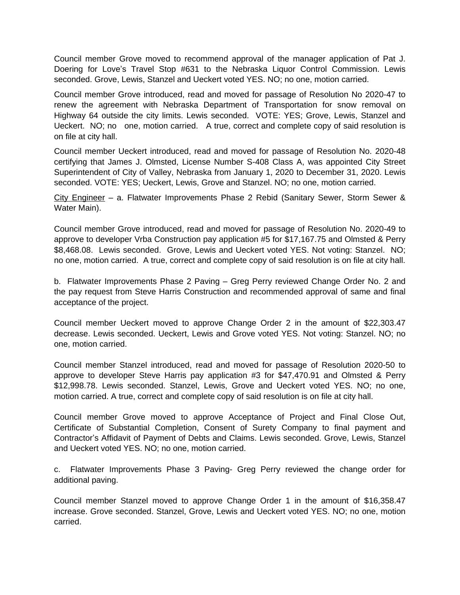Council member Grove moved to recommend approval of the manager application of Pat J. Doering for Love's Travel Stop #631 to the Nebraska Liquor Control Commission. Lewis seconded. Grove, Lewis, Stanzel and Ueckert voted YES. NO; no one, motion carried.

Council member Grove introduced, read and moved for passage of Resolution No 2020-47 to renew the agreement with Nebraska Department of Transportation for snow removal on Highway 64 outside the city limits. Lewis seconded. VOTE: YES; Grove, Lewis, Stanzel and Ueckert. NO; no one, motion carried. A true, correct and complete copy of said resolution is on file at city hall.

Council member Ueckert introduced, read and moved for passage of Resolution No. 2020-48 certifying that James J. Olmsted, License Number S-408 Class A, was appointed City Street Superintendent of City of Valley, Nebraska from January 1, 2020 to December 31, 2020. Lewis seconded. VOTE: YES; Ueckert, Lewis, Grove and Stanzel. NO; no one, motion carried.

City Engineer – a. Flatwater Improvements Phase 2 Rebid (Sanitary Sewer, Storm Sewer & Water Main).

Council member Grove introduced, read and moved for passage of Resolution No. 2020-49 to approve to developer Vrba Construction pay application #5 for \$17,167.75 and Olmsted & Perry \$8,468.08. Lewis seconded. Grove, Lewis and Ueckert voted YES. Not voting: Stanzel. NO; no one, motion carried. A true, correct and complete copy of said resolution is on file at city hall.

b. Flatwater Improvements Phase 2 Paving – Greg Perry reviewed Change Order No. 2 and the pay request from Steve Harris Construction and recommended approval of same and final acceptance of the project.

Council member Ueckert moved to approve Change Order 2 in the amount of \$22,303.47 decrease. Lewis seconded. Ueckert, Lewis and Grove voted YES. Not voting: Stanzel. NO; no one, motion carried.

Council member Stanzel introduced, read and moved for passage of Resolution 2020-50 to approve to developer Steve Harris pay application #3 for \$47,470.91 and Olmsted & Perry \$12,998.78. Lewis seconded. Stanzel, Lewis, Grove and Ueckert voted YES. NO; no one, motion carried. A true, correct and complete copy of said resolution is on file at city hall.

Council member Grove moved to approve Acceptance of Project and Final Close Out, Certificate of Substantial Completion, Consent of Surety Company to final payment and Contractor's Affidavit of Payment of Debts and Claims. Lewis seconded. Grove, Lewis, Stanzel and Ueckert voted YES. NO; no one, motion carried.

c. Flatwater Improvements Phase 3 Paving- Greg Perry reviewed the change order for additional paving.

Council member Stanzel moved to approve Change Order 1 in the amount of \$16,358.47 increase. Grove seconded. Stanzel, Grove, Lewis and Ueckert voted YES. NO; no one, motion carried.